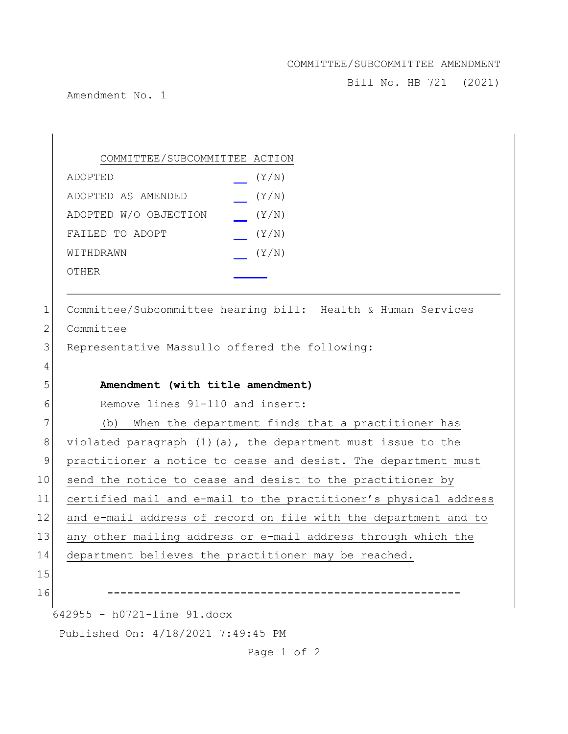## COMMITTEE/SUBCOMMITTEE AMENDMENT

Bill No. HB 721 (2021)

Amendment No. 1

642955 - h0721-line 91.docx Published On: 4/18/2021 7:49:45 PM COMMITTEE/SUBCOMMITTEE ACTION ADOPTED (Y/N) ADOPTED AS AMENDED (Y/N) ADOPTED W/O OBJECTION (Y/N) FAILED TO ADOPT  $(Y/N)$ WITHDRAWN  $(Y/N)$ OTHER 1 Committee/Subcommittee hearing bill: Health & Human Services 2 Committee 3 Representative Massullo offered the following: 4 5 **Amendment (with title amendment)** 6 Remove lines 91-110 and insert: 7 (b) When the department finds that a practitioner has 8 violated paragraph (1)(a), the department must issue to the 9 practitioner a notice to cease and desist. The department must 10 send the notice to cease and desist to the practitioner by 11 certified mail and e-mail to the practitioner's physical address 12 and e-mail address of record on file with the department and to 13 any other mailing address or e-mail address through which the 14 department believes the practitioner may be reached. 15 16 **-----------------------------------------------------**

Page 1 of 2